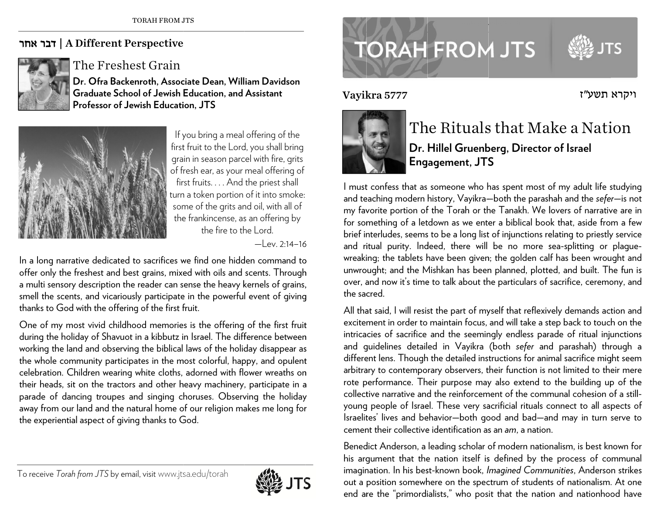## | דבר אחר A Different Perspective



The Freshest Grain

**Dr. Ofra Ba c ckenroth, Asso c ciate Dean, Will iam Davidson Graduate S c chool of Jewish Education, and Assistant Professor of Jewish Educati ion, JTS** 



If y you bring a meal offering of the first fruit to the Lord, you shall bring grain in season parcel with fire, grits of f resh ear, as your meal offering of fir rst fruits. . . . And the priest shall turn n a token portion of it into smoke: some of the grits and oil, with all of the frankincense, as an offering by the fire to the Lord.

—Lev. 2:14–16

In a long narrative dedicated to sacrifices we find one hidden command to offer only the freshest and best grains, mixed with oils and scents. Through a multi sensory description the reader can sense the heavy kernels of grains, smell the scents, and vicariously participate in the powerful event of giving thanks to GGod with the offeering of the first f fruit.

One of my most vivid childhood memories is the offering of the first fruit during the holiday of Shavuot in a kibbutz in Israel. The difference between working the land and observing the biblical laws of the holiday disappear as the whole community participates in the most colorful, happy, and opulent celebration. Children wearing white cloths, adorned with flower wreaths on their heads, sit on the tractors and other heavy machinery, participate in a parade of dancing troupes and singing choruses. Observing the holiday away from our land and the natural home of our religion makes me long for the experiential aspect of giving thanks to God.

To receive *T Torah from JTS* by e email, visitwww.jts sa.edu/torah



## **TORAH FROM JTS**

Vayi k a 5777



## The Rituals that Make a Nation  $\;$ **Dr. Hillel Gruen b berg, Director r of Israel Eng agement, JT S**

ויקרא תשע״ז

l must confess that as someone who has spent most of my adult life studying and teaching modern history, Vayikra—both the parashah and the *sefer*—is not my favorite portion of the Torah or the Tanakh. We lovers of narrative are in for something of a letdown as we enter a biblical book that, aside from a few brief interludes, seems to be a long list of injunctions relating to priestly service and ritual purity. Indeed, there will be no more sea-splitting or plaguewreaking; the tablets have been given; the golden calf has been wrought and unwrought; and the Mishkan has been planned, plotted, and built. The fun is over, and now it's time to talk about the particulars of sacrifice, ceremony, and the sacred. VayIKr<br>
F<br>
F<br>
F<br>
I must co<br>
and teac<br>
my favor<br>
for some<br>
brief inte<br>
and ritu.<br>
wreaking<br>
unwroug<br>
over, and thus,<br>
wreaking<br>
unwroug<br>
over, and thus,<br>
the sacre<br>
All that s<br>
exciteme<br>
intricacie<br>
and guid<br>
different<br>
arb

All that said, I will resist the part of myself that reflexively demands action and excitement in order to maintain focus, and will take a step back to touch on the intricacies of sacrifice and the seemingly endless parade of ritual injunctions and guidelines detailed in Vayikra (both *sefer* and parashah) through a different lens. Though the detailed instructions for animal sacrifice might seem arbitrary to contemporary observers, their function is not limited to their mere rote performance. Their purpose may also extend to the building up of the collective narrative and the reinforcement of the communal cohesion of a still-  $\,$ young people of Israel. These very sacrificial rituals connect to all aspects of lsraelites' lives and behavior—both good and bad—and may in turn serve to cement their collective identification as an *am*, a nation.

Benedict Anderson, a leading scholar of modern nationalism, is best known for his argument that the nation itself is defined by the process of communal imagination. In his best-known book, *Imagined Communities,* Anderson strikes out a position somewhere on the spectrum of students of nationalism. At one end are the "primordialists," who posit that the nation and nationhood have